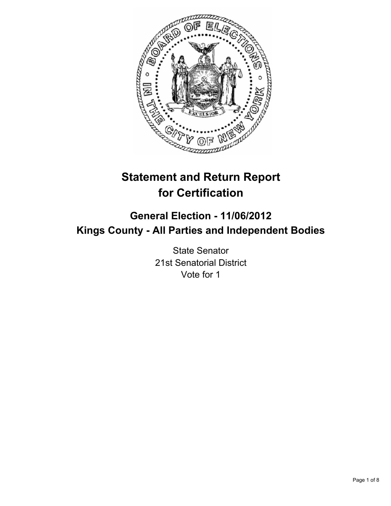

# **Statement and Return Report for Certification**

# **General Election - 11/06/2012 Kings County - All Parties and Independent Bodies**

State Senator 21st Senatorial District Vote for 1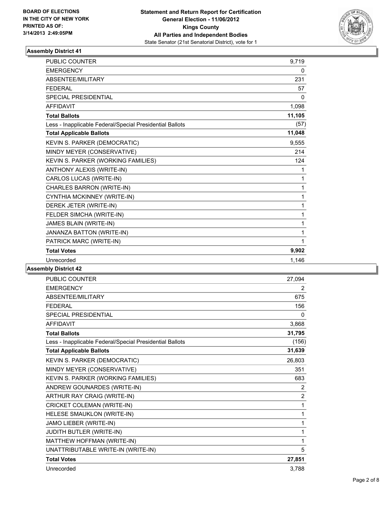

| <b>PUBLIC COUNTER</b>                                    | 9,719  |
|----------------------------------------------------------|--------|
| <b>EMERGENCY</b>                                         | 0      |
| ABSENTEE/MILITARY                                        | 231    |
| <b>FEDERAL</b>                                           | 57     |
| <b>SPECIAL PRESIDENTIAL</b>                              | 0      |
| <b>AFFIDAVIT</b>                                         | 1,098  |
| <b>Total Ballots</b>                                     | 11,105 |
| Less - Inapplicable Federal/Special Presidential Ballots | (57)   |
| <b>Total Applicable Ballots</b>                          | 11,048 |
| KEVIN S. PARKER (DEMOCRATIC)                             | 9,555  |
| MINDY MEYER (CONSERVATIVE)                               | 214    |
| KEVIN S. PARKER (WORKING FAMILIES)                       | 124    |
| ANTHONY ALEXIS (WRITE-IN)                                | 1      |
| CARLOS LUCAS (WRITE-IN)                                  | 1      |
| CHARLES BARRON (WRITE-IN)                                | 1      |
| CYNTHIA MCKINNEY (WRITE-IN)                              | 1      |
| DEREK JETER (WRITE-IN)                                   | 1      |
| FELDER SIMCHA (WRITE-IN)                                 | 1      |
| JAMES BLAIN (WRITE-IN)                                   | 1      |
| JANANZA BATTON (WRITE-IN)                                | 1      |
| PATRICK MARC (WRITE-IN)                                  | 1      |
| <b>Total Votes</b>                                       | 9,902  |
| Unrecorded                                               | 1,146  |

| PUBLIC COUNTER                                           | 27,094         |
|----------------------------------------------------------|----------------|
| <b>EMERGENCY</b>                                         | 2              |
| ABSENTEE/MILITARY                                        | 675            |
| <b>FEDERAL</b>                                           | 156            |
| SPECIAL PRESIDENTIAL                                     | 0              |
| <b>AFFIDAVIT</b>                                         | 3,868          |
| <b>Total Ballots</b>                                     | 31,795         |
| Less - Inapplicable Federal/Special Presidential Ballots | (156)          |
| <b>Total Applicable Ballots</b>                          | 31,639         |
| KEVIN S. PARKER (DEMOCRATIC)                             | 26,803         |
| MINDY MEYER (CONSERVATIVE)                               | 351            |
| KEVIN S. PARKER (WORKING FAMILIES)                       | 683            |
| ANDREW GOUNARDES (WRITE-IN)                              | $\overline{2}$ |
| ARTHUR RAY CRAIG (WRITE-IN)                              | $\overline{2}$ |
| CRICKET COLEMAN (WRITE-IN)                               | 1              |
| HELESE SMAUKLON (WRITE-IN)                               | 1              |
| JAMO LIEBER (WRITE-IN)                                   | 1              |
| JUDITH BUTLER (WRITE-IN)                                 | 1              |
| MATTHEW HOFFMAN (WRITE-IN)                               | 1              |
| UNATTRIBUTABLE WRITE-IN (WRITE-IN)                       | 5              |
| <b>Total Votes</b>                                       | 27,851         |
| Unrecorded                                               | 3,788          |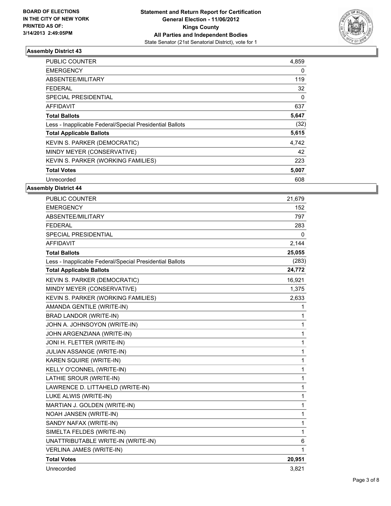

| <b>PUBLIC COUNTER</b>                                    | 4,859 |
|----------------------------------------------------------|-------|
| <b>EMERGENCY</b>                                         | 0     |
| ABSENTEE/MILITARY                                        | 119   |
| FEDERAL                                                  | 32    |
| SPECIAL PRESIDENTIAL                                     | 0     |
| AFFIDAVIT                                                | 637   |
| <b>Total Ballots</b>                                     | 5,647 |
| Less - Inapplicable Federal/Special Presidential Ballots | (32)  |
| <b>Total Applicable Ballots</b>                          | 5,615 |
| <b>KEVIN S. PARKER (DEMOCRATIC)</b>                      | 4,742 |
| MINDY MEYER (CONSERVATIVE)                               | 42    |
| KEVIN S. PARKER (WORKING FAMILIES)                       | 223   |
| <b>Total Votes</b>                                       | 5,007 |
| Unrecorded                                               | 608   |

| <b>PUBLIC COUNTER</b>                                    | 21,679      |
|----------------------------------------------------------|-------------|
| <b>EMERGENCY</b>                                         | 152         |
| ABSENTEE/MILITARY                                        | 797         |
| <b>FEDERAL</b>                                           | 283         |
| <b>SPECIAL PRESIDENTIAL</b>                              | 0           |
| <b>AFFIDAVIT</b>                                         | 2,144       |
| <b>Total Ballots</b>                                     | 25,055      |
| Less - Inapplicable Federal/Special Presidential Ballots | (283)       |
| <b>Total Applicable Ballots</b>                          | 24,772      |
| KEVIN S. PARKER (DEMOCRATIC)                             | 16,921      |
| MINDY MEYER (CONSERVATIVE)                               | 1,375       |
| KEVIN S. PARKER (WORKING FAMILIES)                       | 2,633       |
| AMANDA GENTILE (WRITE-IN)                                | 1           |
| BRAD LANDOR (WRITE-IN)                                   | 1           |
| JOHN A. JOHNSOYON (WRITE-IN)                             | 1           |
| JOHN ARGENZIANA (WRITE-IN)                               | 1           |
| JONI H. FLETTER (WRITE-IN)                               | 1           |
| JULIAN ASSANGE (WRITE-IN)                                | 1           |
| KAREN SQUIRE (WRITE-IN)                                  | 1           |
| KELLY O'CONNEL (WRITE-IN)                                | 1           |
| LATHIE SROUR (WRITE-IN)                                  | 1           |
| LAWRENCE D. LITTAHELD (WRITE-IN)                         | 1           |
| LUKE ALWIS (WRITE-IN)                                    | $\mathbf 1$ |
| MARTIAN J. GOLDEN (WRITE-IN)                             | 1           |
| NOAH JANSEN (WRITE-IN)                                   | 1           |
| SANDY NAFAX (WRITE-IN)                                   | 1           |
| SIMELTA FELDES (WRITE-IN)                                | 1           |
| UNATTRIBUTABLE WRITE-IN (WRITE-IN)                       | 6           |
| VERLINA JAMES (WRITE-IN)                                 | 1           |
| <b>Total Votes</b>                                       | 20,951      |
| Unrecorded                                               | 3,821       |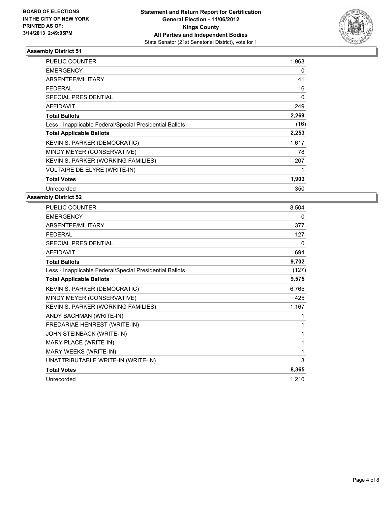

| PUBLIC COUNTER                                           | 1,963       |
|----------------------------------------------------------|-------------|
| <b>EMERGENCY</b>                                         | 0           |
| <b>ABSENTEE/MILITARY</b>                                 | 41          |
| <b>FEDERAL</b>                                           | 16          |
| <b>SPECIAL PRESIDENTIAL</b>                              | 0           |
| <b>AFFIDAVIT</b>                                         | 249         |
| <b>Total Ballots</b>                                     | 2,269       |
| Less - Inapplicable Federal/Special Presidential Ballots | (16)        |
| <b>Total Applicable Ballots</b>                          | 2,253       |
| KEVIN S. PARKER (DEMOCRATIC)                             | 1,617       |
| MINDY MEYER (CONSERVATIVE)                               | 78          |
| KEVIN S. PARKER (WORKING FAMILIES)                       | 207         |
| VOLTAIRE DE ELYRE (WRITE-IN)                             | $\mathbf 1$ |
| <b>Total Votes</b>                                       | 1,903       |
| Unrecorded                                               | 350         |

| PUBLIC COUNTER                                           | 8,504    |
|----------------------------------------------------------|----------|
| <b>EMERGENCY</b>                                         | 0        |
| ABSENTEE/MILITARY                                        | 377      |
| <b>FEDERAL</b>                                           | 127      |
| <b>SPECIAL PRESIDENTIAL</b>                              | $\Omega$ |
| <b>AFFIDAVIT</b>                                         | 694      |
| <b>Total Ballots</b>                                     | 9,702    |
| Less - Inapplicable Federal/Special Presidential Ballots | (127)    |
| <b>Total Applicable Ballots</b>                          | 9,575    |
| KEVIN S. PARKER (DEMOCRATIC)                             | 6,765    |
| MINDY MEYER (CONSERVATIVE)                               | 425      |
| KEVIN S. PARKER (WORKING FAMILIES)                       | 1,167    |
| ANDY BACHMAN (WRITE-IN)                                  | 1        |
| FREDARIAE HENREST (WRITE-IN)                             | 1        |
| JOHN STEINBACK (WRITE-IN)                                | 1        |
| MARY PLACE (WRITE-IN)                                    | 1        |
| MARY WEEKS (WRITE-IN)                                    | 1        |
| UNATTRIBUTABLE WRITE-IN (WRITE-IN)                       | 3        |
| <b>Total Votes</b>                                       | 8,365    |
| Unrecorded                                               | 1,210    |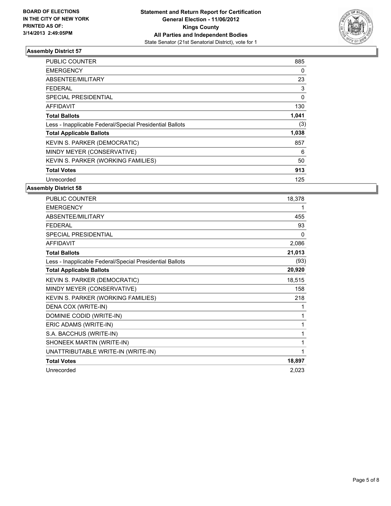

| <b>PUBLIC COUNTER</b>                                    | 885   |
|----------------------------------------------------------|-------|
| <b>EMERGENCY</b>                                         | 0     |
| ABSENTEE/MILITARY                                        | 23    |
| FEDERAL                                                  | 3     |
| SPECIAL PRESIDENTIAL                                     | 0     |
| AFFIDAVIT                                                | 130   |
| <b>Total Ballots</b>                                     | 1,041 |
| Less - Inapplicable Federal/Special Presidential Ballots | (3)   |
| <b>Total Applicable Ballots</b>                          | 1,038 |
| KEVIN S. PARKER (DEMOCRATIC)                             | 857   |
| MINDY MEYER (CONSERVATIVE)                               | 6     |
| KEVIN S. PARKER (WORKING FAMILIES)                       | 50    |
| <b>Total Votes</b>                                       | 913   |
| Unrecorded                                               | 125   |

| <b>PUBLIC COUNTER</b>                                    | 18,378 |
|----------------------------------------------------------|--------|
| <b>EMERGENCY</b>                                         | 1      |
| ABSENTEE/MILITARY                                        | 455    |
| <b>FEDERAL</b>                                           | 93     |
| SPECIAL PRESIDENTIAL                                     | 0      |
| <b>AFFIDAVIT</b>                                         | 2,086  |
| <b>Total Ballots</b>                                     | 21,013 |
| Less - Inapplicable Federal/Special Presidential Ballots | (93)   |
| <b>Total Applicable Ballots</b>                          | 20,920 |
| KEVIN S. PARKER (DEMOCRATIC)                             | 18,515 |
| MINDY MEYER (CONSERVATIVE)                               | 158    |
| KEVIN S. PARKER (WORKING FAMILIES)                       | 218    |
| DENA COX (WRITE-IN)                                      | 1      |
| DOMINIE CODID (WRITE-IN)                                 | 1      |
| ERIC ADAMS (WRITE-IN)                                    | 1      |
| S.A. BACCHUS (WRITE-IN)                                  | 1      |
| SHONEEK MARTIN (WRITE-IN)                                | 1      |
| UNATTRIBUTABLE WRITE-IN (WRITE-IN)                       | 1      |
| <b>Total Votes</b>                                       | 18,897 |
| Unrecorded                                               | 2,023  |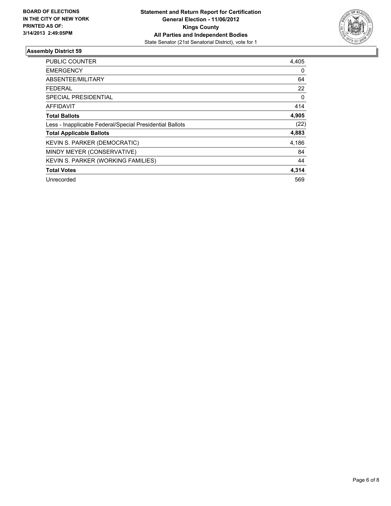

| <b>PUBLIC COUNTER</b>                                    | 4,405 |
|----------------------------------------------------------|-------|
| <b>EMERGENCY</b>                                         | 0     |
| ABSENTEE/MILITARY                                        | 64    |
| <b>FEDERAL</b>                                           | 22    |
| SPECIAL PRESIDENTIAL                                     | 0     |
| AFFIDAVIT                                                | 414   |
| <b>Total Ballots</b>                                     | 4,905 |
| Less - Inapplicable Federal/Special Presidential Ballots | (22)  |
| <b>Total Applicable Ballots</b>                          | 4,883 |
| <b>KEVIN S. PARKER (DEMOCRATIC)</b>                      | 4,186 |
| MINDY MEYER (CONSERVATIVE)                               | 84    |
| KEVIN S. PARKER (WORKING FAMILIES)                       | 44    |
| <b>Total Votes</b>                                       | 4,314 |
| Unrecorded                                               | 569   |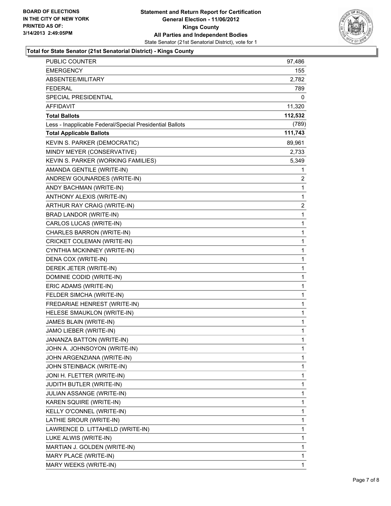

#### **Total for State Senator (21st Senatorial District) - Kings County**

| PUBLIC COUNTER                                           | 97,486       |
|----------------------------------------------------------|--------------|
| <b>EMERGENCY</b>                                         | 155          |
| ABSENTEE/MILITARY                                        | 2,782        |
| <b>FEDERAL</b>                                           | 789.         |
| SPECIAL PRESIDENTIAL                                     | 0            |
| <b>AFFIDAVIT</b>                                         | 11,320       |
| <b>Total Ballots</b>                                     | 112,532      |
| Less - Inapplicable Federal/Special Presidential Ballots | (789)        |
| <b>Total Applicable Ballots</b>                          | 111,743      |
| KEVIN S. PARKER (DEMOCRATIC)                             | 89,961       |
| MINDY MEYER (CONSERVATIVE)                               | 2,733        |
| KEVIN S. PARKER (WORKING FAMILIES)                       | 5,349        |
| AMANDA GENTILE (WRITE-IN)                                | 1            |
| ANDREW GOUNARDES (WRITE-IN)                              | 2            |
| ANDY BACHMAN (WRITE-IN)                                  | 1            |
| ANTHONY ALEXIS (WRITE-IN)                                | 1            |
| ARTHUR RAY CRAIG (WRITE-IN)                              | 2            |
| BRAD LANDOR (WRITE-IN)                                   | 1            |
| CARLOS LUCAS (WRITE-IN)                                  | 1            |
| CHARLES BARRON (WRITE-IN)                                | 1            |
| CRICKET COLEMAN (WRITE-IN)                               | 1            |
| CYNTHIA MCKINNEY (WRITE-IN)                              | 1            |
| DENA COX (WRITE-IN)                                      | 1            |
| DEREK JETER (WRITE-IN)                                   | 1            |
| DOMINIE CODID (WRITE-IN)                                 | 1            |
| ERIC ADAMS (WRITE-IN)                                    | 1            |
| FELDER SIMCHA (WRITE-IN)                                 | 1            |
| FREDARIAE HENREST (WRITE-IN)                             | 1            |
| HELESE SMAUKLON (WRITE-IN)                               | 1            |
| JAMES BLAIN (WRITE-IN)                                   | 1            |
| JAMO LIEBER (WRITE-IN)                                   | $\mathbf{1}$ |
| JANANZA BATTON (WRITE-IN)                                | 1            |
| JOHN A. JOHNSOYON (WRITE-IN)                             | 1            |
| JOHN ARGENZIANA (WRITE-IN)                               | 1            |
| JOHN STEINBACK (WRITE-IN)                                | 1            |
| JONI H. FLETTER (WRITE-IN)                               | 1            |
| <b>JUDITH BUTLER (WRITE-IN)</b>                          | 1            |
| JULIAN ASSANGE (WRITE-IN)                                | 1            |
| KAREN SQUIRE (WRITE-IN)                                  | 1            |
| KELLY O'CONNEL (WRITE-IN)                                | 1            |
| LATHIE SROUR (WRITE-IN)                                  | 1            |
| LAWRENCE D. LITTAHELD (WRITE-IN)                         | 1            |
| LUKE ALWIS (WRITE-IN)                                    | 1            |
| MARTIAN J. GOLDEN (WRITE-IN)                             | 1            |
| MARY PLACE (WRITE-IN)                                    | 1            |
| MARY WEEKS (WRITE-IN)                                    | $\mathbf{1}$ |